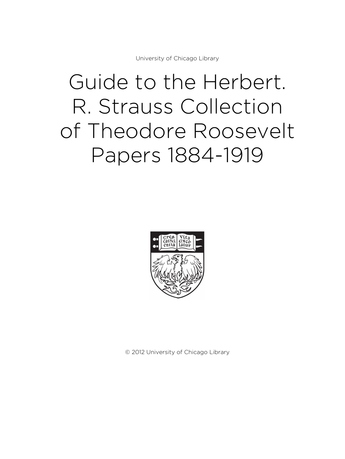University of Chicago Library

# Guide to the Herbert. R. Strauss Collection of Theodore Roosevelt Papers 1884-1919



© 2012 University of Chicago Library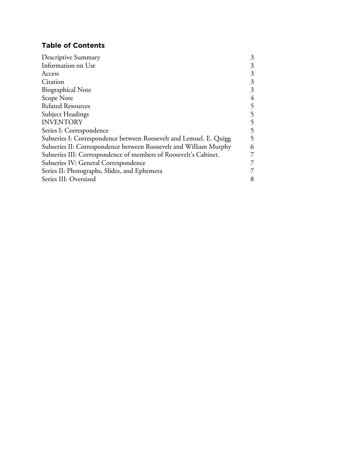# **Table of Contents**

| <b>Descriptive Summary</b>                                         | 3 |
|--------------------------------------------------------------------|---|
| Information on Use                                                 | 3 |
| Access                                                             | 3 |
| Citation                                                           | 3 |
| <b>Biographical Note</b>                                           | 3 |
| Scope Note                                                         | 4 |
| <b>Related Resources</b>                                           | 5 |
| Subject Headings                                                   | 5 |
| <b>INVENTORY</b>                                                   | 5 |
| Series I: Correspondence                                           | 5 |
| Subseries I: Correspondence between Roosevelt and Lemuel. E. Quigg | 5 |
| Subseries II: Correspondence between Roosevelt and William Murphy  | 6 |
| Subseries III: Correspondence of members of Roosevelt's Cabinet.   | 7 |
| Subseries IV: General Correspondence                               | 7 |
| Series II: Photographs, Slides, and Ephemera                       | 7 |
| Series III: Oversized                                              | 8 |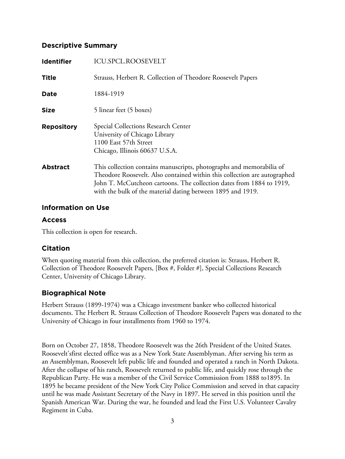## **Descriptive Summary**

| <b>Identifier</b> | <b>ICU.SPCL.ROOSEVELT</b>                                                                                                                                                                                                                                                                |
|-------------------|------------------------------------------------------------------------------------------------------------------------------------------------------------------------------------------------------------------------------------------------------------------------------------------|
| <b>Title</b>      | Strauss, Herbert R. Collection of Theodore Roosevelt Papers                                                                                                                                                                                                                              |
| <b>Date</b>       | 1884-1919                                                                                                                                                                                                                                                                                |
| <b>Size</b>       | 5 linear feet (5 boxes)                                                                                                                                                                                                                                                                  |
| <b>Repository</b> | Special Collections Research Center<br>University of Chicago Library<br>1100 East 57th Street<br>Chicago, Illinois 60637 U.S.A.                                                                                                                                                          |
| <b>Abstract</b>   | This collection contains manuscripts, photographs and memorabilia of<br>Theodore Roosevelt. Also contained within this collection are autographed<br>John T. McCutcheon cartoons. The collection dates from 1884 to 1919,<br>with the bulk of the material dating between 1895 and 1919. |

## **Information on Use**

## **Access**

This collection is open for research.

# **Citation**

When quoting material from this collection, the preferred citation is: Strauss, Herbert R. Collection of Theodore Roosevelt Papers, [Box #, Folder #], Special Collections Research Center, University of Chicago Library.

# **Biographical Note**

Herbert Strauss (1899-1974) was a Chicago investment banker who collected historical documents. The Herbert R. Strauss Collection of Theodore Roosevelt Papers was donated to the University of Chicago in four installments from 1960 to 1974.

Born on October 27, 1858, Theodore Roosevelt was the 26th President of the United States. Roosevelt'sfirst elected office was as a New York State Assemblyman. After serving his term as an Assemblyman, Roosevelt left public life and founded and operated a ranch in North Dakota. After the collapse of his ranch, Roosevelt returned to public life, and quickly rose through the Republican Party. He was a member of the Civil Service Commission from 1888 to1895. In 1895 he became president of the New York City Police Commission and served in that capacity until he was made Assistant Secretary of the Navy in 1897. He served in this position until the Spanish American War. During the war, he founded and lead the First U.S. Volunteer Cavalry Regiment in Cuba.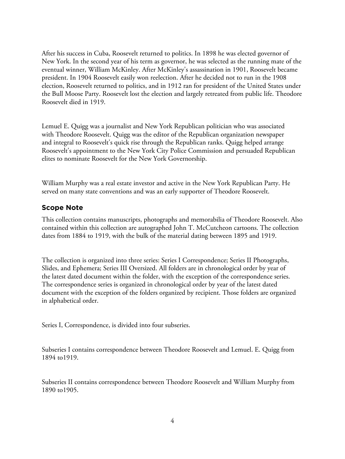After his success in Cuba, Roosevelt returned to politics. In 1898 he was elected governor of New York. In the second year of his term as governor, he was selected as the running mate of the eventual winner, William McKinley. After McKinley's assassination in 1901, Roosevelt became president. In 1904 Roosevelt easily won reelection. After he decided not to run in the 1908 election, Roosevelt returned to politics, and in 1912 ran for president of the United States under the Bull Moose Party. Roosevelt lost the election and largely retreated from public life. Theodore Roosevelt died in 1919.

Lemuel E. Quigg was a journalist and New York Republican politician who was associated with Theodore Roosevelt. Quigg was the editor of the Republican organization newspaper and integral to Roosevelt's quick rise through the Republican ranks. Quigg helped arrange Roosevelt's appointment to the New York City Police Commission and persuaded Republican elites to nominate Roosevelt for the New York Governorship.

William Murphy was a real estate investor and active in the New York Republican Party. He served on many state conventions and was an early supporter of Theodore Roosevelt.

## **Scope Note**

This collection contains manuscripts, photographs and memorabilia of Theodore Roosevelt. Also contained within this collection are autographed John T. McCutcheon cartoons. The collection dates from 1884 to 1919, with the bulk of the material dating between 1895 and 1919.

The collection is organized into three series: Series I Correspondence; Series II Photographs, Slides, and Ephemera; Series III Oversized. All folders are in chronological order by year of the latest dated document within the folder, with the exception of the correspondence series. The correspondence series is organized in chronological order by year of the latest dated document with the exception of the folders organized by recipient. Those folders are organized in alphabetical order.

Series I, Correspondence, is divided into four subseries.

Subseries I contains correspondence between Theodore Roosevelt and Lemuel. E. Quigg from 1894 to1919.

Subseries II contains correspondence between Theodore Roosevelt and William Murphy from 1890 to1905.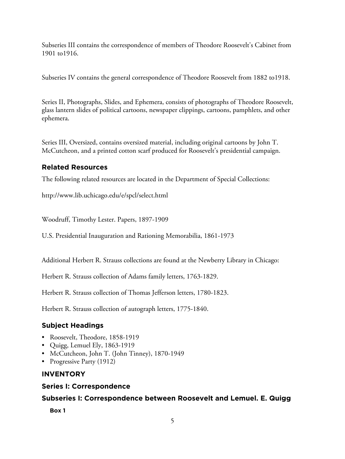Subseries III contains the correspondence of members of Theodore Roosevelt's Cabinet from 1901 to1916.

Subseries IV contains the general correspondence of Theodore Roosevelt from 1882 to1918.

Series II, Photographs, Slides, and Ephemera, consists of photographs of Theodore Roosevelt, glass lantern slides of political cartoons, newspaper clippings, cartoons, pamphlets, and other ephemera.

Series III, Oversized, contains oversized material, including original cartoons by John T. McCutcheon, and a printed cotton scarf produced for Roosevelt's presidential campaign.

# **Related Resources**

The following related resources are located in the Department of Special Collections:

http://www.lib.uchicago.edu/e/spcl/select.html

Woodruff, Timothy Lester. Papers, 1897-1909

U.S. Presidential Inauguration and Rationing Memorabilia, 1861-1973

Additional Herbert R. Strauss collections are found at the Newberry Library in Chicago:

Herbert R. Strauss collection of Adams family letters, 1763-1829.

Herbert R. Strauss collection of Thomas Jefferson letters, 1780-1823.

Herbert R. Strauss collection of autograph letters, 1775-1840.

# **Subject Headings**

- Roosevelt, Theodore, 1858-1919
- Quigg, Lemuel Ely, 1863-1919
- McCutcheon, John T. (John Tinney), 1870-1949
- Progressive Party (1912)

# **INVENTORY**

# **Series I: Correspondence**

# **Subseries I: Correspondence between Roosevelt and Lemuel. E. Quigg**

**Box 1**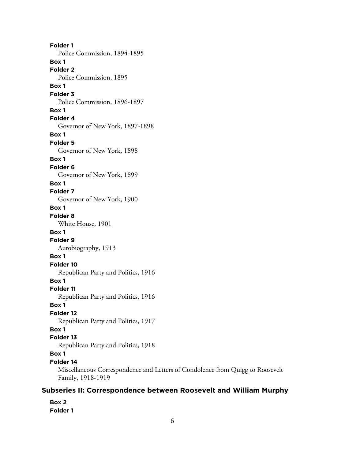**Folder 1** Police Commission, 1894-1895 **Box 1 Folder 2** Police Commission, 1895 **Box 1 Folder 3** Police Commission, 1896-1897 **Box 1 Folder 4** Governor of New York, 1897-1898 **Box 1 Folder 5** Governor of New York, 1898 **Box 1 Folder 6** Governor of New York, 1899 **Box 1 Folder 7** Governor of New York, 1900 **Box 1 Folder 8** White House, 1901 **Box 1 Folder 9** Autobiography, 1913 **Box 1 Folder 10** Republican Party and Politics, 1916 **Box 1 Folder 11** Republican Party and Politics, 1916 **Box 1 Folder 12** Republican Party and Politics, 1917 **Box 1 Folder 13** Republican Party and Politics, 1918 **Box 1 Folder 14** Miscellaneous Correspondence and Letters of Condolence from Quigg to Roosevelt Family, 1918-1919

## **Subseries II: Correspondence between Roosevelt and William Murphy**

**Box 2 Folder 1**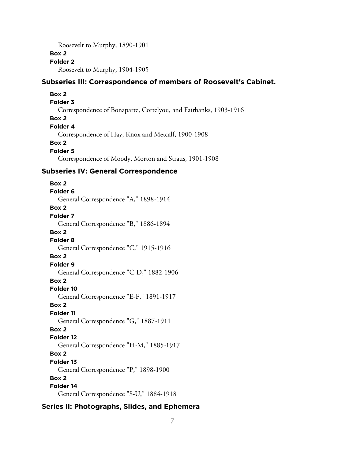Roosevelt to Murphy, 1890-1901

## **Box 2**

## **Folder 2**

Roosevelt to Murphy, 1904-1905

## **Subseries III: Correspondence of members of Roosevelt's Cabinet.**

#### **Box 2**

#### **Folder 3**

Correspondence of Bonaparte, Cortelyou, and Fairbanks, 1903-1916

## **Box 2**

**Folder 4**

Correspondence of Hay, Knox and Metcalf, 1900-1908

## **Box 2**

**Folder 5**

Correspondence of Moody, Morton and Straus, 1901-1908

### **Subseries IV: General Correspondence**

**Box 2 Folder 6** General Correspondence "A," 1898-1914 **Box 2 Folder 7** General Correspondence "B," 1886-1894 **Box 2 Folder 8** General Correspondence "C," 1915-1916 **Box 2 Folder 9** General Correspondence "C-D," 1882-1906 **Box 2 Folder 10** General Correspondence "E-F," 1891-1917 **Box 2 Folder 11** General Correspondence "G," 1887-1911 **Box 2 Folder 12** General Correspondence "H-M," 1885-1917 **Box 2 Folder 13** General Correspondence "P," 1898-1900 **Box 2 Folder 14** General Correspondence "S-U," 1884-1918

## **Series II: Photographs, Slides, and Ephemera**